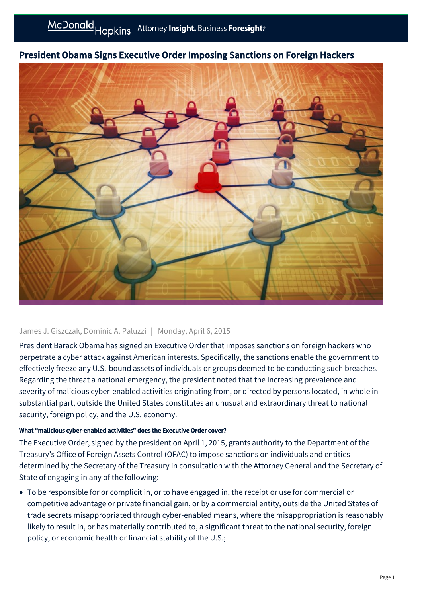

# President Obama Signs Executive Order Imposing Sanctions on Foreign Hackers

#### James J. Giszczak, Dominic A. Paluzzi | Monday, April 6, 2015

President Barack Obama has signed an Executive Order that imposes sanctions on foreign hackers who perpetrate a cyber attack against American interests. Specifically, the sanctions enable the government to effectively freeze any U.S.-bound assets of individuals or groups deemed to be conducting such breaches. Regarding the threat a national emergency, the president noted that the increasing prevalence and severity of malicious cyber-enabled activities originating from, or directed by persons located, in whole in substantial part, outside the United States constitutes an unusual and extraordinary threat to national security, foreign policy, and the U.S. economy.

#### What "malicious cyber-enabled activities" does the Executive Order cover?

The Executive Order, signed by the president on April 1, 2015, grants authority to the Department of the Treasury's Office of Foreign Assets Control (OFAC) to impose sanctions on individuals and entities determined by the Secretary of the Treasury in consultation with the Attorney General and the Secretary of State of engaging in any of the following:

To be responsible for or complicit in, or to have engaged in, the receipt or use for commercial or competitive advantage or private financial gain, or by a commercial entity, outside the United States of trade secrets misappropriated through cyber-enabled means, where the misappropriation is reasonably likely to result in, or has materially contributed to, a significant threat to the national security, foreign policy, or economic health or financial stability of the U.S.;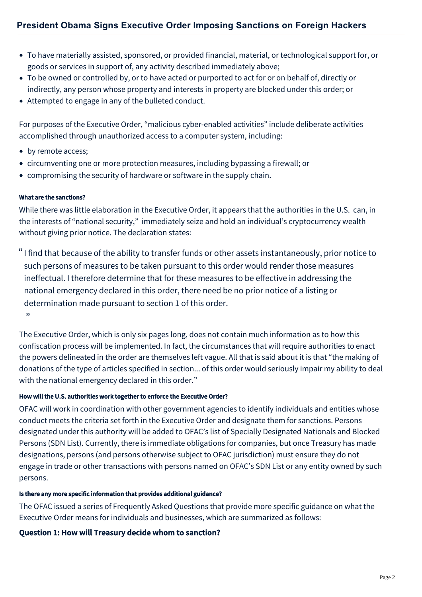- To have materially assisted, sponsored, or provided financial, material, or technological support for, or goods or services in support of, any activity described immediately above;
- To be owned or controlled by, or to have acted or purported to act for or on behalf of, directly or indirectly, any person whose property and interests in property are blocked under this order; or
- Attempted to engage in any of the bulleted conduct.

For purposes of the Executive Order, "malicious cyber-enabled activities" include deliberate activities accomplished through unauthorized access to a computer system, including:

- by remote access;
- circumventing one or more protection measures, including bypassing a firewall; or
- compromising the security of hardware or software in the supply chain.

### What are the sanctions?

While there was little elaboration in the Executive Order, it appears that the authorities in the U.S. can, in the interests of "national security," immediately seize and hold an individual's cryptocurrency wealth without giving prior notice. The declaration states:

I find that because of the ability to transfer funds or other assets instantaneously, prior notice to " such persons of measures to be taken pursuant to this order would render those measures ineffectual. I therefore determine that for these measures to be effective in addressing the national emergency declared in this order, there need be no prior notice of a listing or determination made pursuant to section 1 of this order.  $"$ 

The Executive Order, which is only six pages long, does not contain much information as to how this confiscation process will be implemented. In fact, the circumstances that will require authorities to enact the powers delineated in the order are themselves left vague. All that is said about it is that "the making of donations of the type of articles specified in section... of this order would seriously impair my ability to deal with the national emergency declared in this order."

### How will the U.S. authorities work together to enforce the Executive Order?

OFAC will work in coordination with other government agencies to identify individuals and entities whose conduct meets the criteria set forth in the Executive Order and designate them for sanctions. Persons designated under this authority will be added to OFAC's list of Specially Designated Nationals and Blocked Persons (SDN List). Currently, there is immediate obligations for companies, but once Treasury has made designations, persons (and persons otherwise subject to OFAC jurisdiction) must ensure they do not engage in trade or other transactions with persons named on OFAC's SDN List or any entity owned by such persons.

#### Is there any more specific information that provides additional guidance?

The OFAC issued a series of Frequently Asked Questions that provide more specific guidance on what the Executive Order means for individuals and businesses, which are summarized as follows:

### Question 1: How will Treasury decide whom to sanction?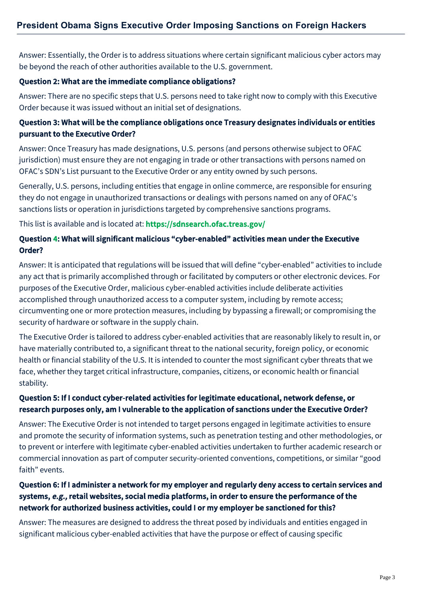Answer: Essentially, the Order is to address situations where certain significant malicious cyber actors may be beyond the reach of other authorities available to the U.S. government.

## Question 2: What are the immediate compliance obligations?

Answer: There are no specific steps that U.S. persons need to take right now to comply with this Executive Order because it was issued without an initial set of designations.

## Question 3: What will be the compliance obligations once Treasury designates individuals or entities pursuant to the Executive Order?

Answer: Once Treasury has made designations, U.S. persons (and persons otherwise subject to OFAC jurisdiction) must ensure they are not engaging in trade or other transactions with persons named on OFAC's SDN's List pursuant to the Executive Order or any entity owned by such persons.

Generally, U.S. persons, including entities that engage in online commerce, are responsible for ensuring they do not engage in unauthorized transactions or dealings with persons named on any of OFAC's sanctions lists or operation in jurisdictions targeted by comprehensive sanctions programs.

This list is available and is located at: <https://sdnsearch.ofac.treas.gov/>

## Question 4: What will significant malicious "cyber-enabled" activities mean under the Executive Order?

Answer: It is anticipated that regulations will be issued that will define "cyber-enabled" activities to include any act that is primarily accomplished through or facilitated by computers or other electronic devices. For purposes of the Executive Order, malicious cyber-enabled activities include deliberate activities accomplished through unauthorized access to a computer system, including by remote access; circumventing one or more protection measures, including by bypassing a firewall; or compromising the security of hardware or software in the supply chain.

The Executive Order is tailored to address cyber-enabled activities that are reasonably likely to result in, or have materially contributed to, a significant threat to the national security, foreign policy, or economic health or financial stability of the U.S. It is intended to counter the most significant cyber threats that we face, whether they target critical infrastructure, companies, citizens, or economic health or financial stability.

# Question 5: If I conduct cyber-related activities for legitimate educational, network defense, or research purposes only, am I vulnerable to the application of sanctions under the Executive Order?

Answer: The Executive Order is not intended to target persons engaged in legitimate activities to ensure and promote the security of information systems, such as penetration testing and other methodologies, or to prevent or interfere with legitimate cyber-enabled activities undertaken to further academic research or commercial innovation as part of computer security-oriented conventions, competitions, or similar "good faith" events.

# Question 6: If I administer a network for my employer and regularly deny access to certain services and systems, e.g., retail websites, social media platforms, in order to ensure the performance of the network for authorized business activities, could I or my employer be sanctioned for this?

Answer: The measures are designed to address the threat posed by individuals and entities engaged in significant malicious cyber-enabled activities that have the purpose or effect of causing specific